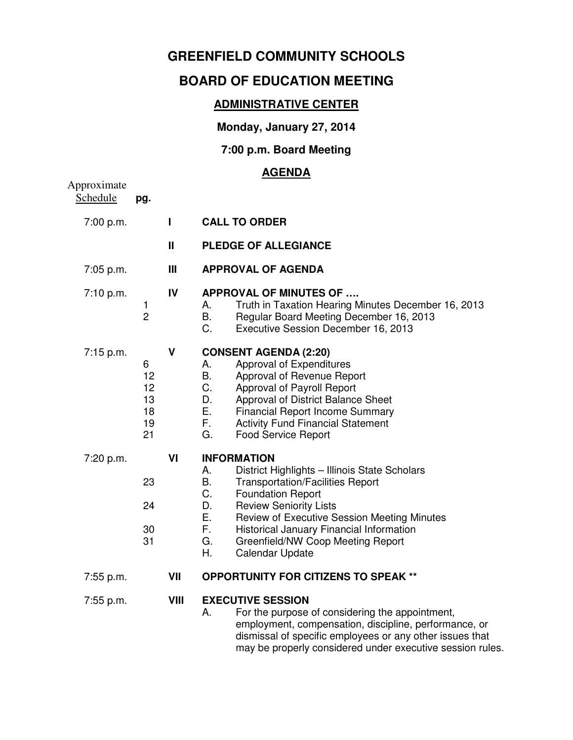## **GREENFIELD COMMUNITY SCHOOLS**

# **BOARD OF EDUCATION MEETING**

#### **ADMINISTRATIVE CENTER**

## **Monday, January 27, 2014**

#### **7:00 p.m. Board Meeting**

## **AGENDA**

| Approximate<br>Schedule | pg.                                   |                |                                                                                                                                                                                                                                                                                                                                                                                              |
|-------------------------|---------------------------------------|----------------|----------------------------------------------------------------------------------------------------------------------------------------------------------------------------------------------------------------------------------------------------------------------------------------------------------------------------------------------------------------------------------------------|
| 7:00 p.m.               |                                       | $\blacksquare$ | <b>CALL TO ORDER</b>                                                                                                                                                                                                                                                                                                                                                                         |
|                         |                                       | Ш              | <b>PLEDGE OF ALLEGIANCE</b>                                                                                                                                                                                                                                                                                                                                                                  |
| 7:05 p.m.               |                                       | Ш              | <b>APPROVAL OF AGENDA</b>                                                                                                                                                                                                                                                                                                                                                                    |
| 7:10 p.m.               | 1<br>$\overline{c}$                   | IV             | <b>APPROVAL OF MINUTES OF </b><br>Truth in Taxation Hearing Minutes December 16, 2013<br>Α.<br>Β.<br>Regular Board Meeting December 16, 2013<br>C.<br>Executive Session December 16, 2013                                                                                                                                                                                                    |
| 7:15 p.m.               | 6<br>12<br>12<br>13<br>18<br>19<br>21 | V              | <b>CONSENT AGENDA (2:20)</b><br>Approval of Expenditures<br>А.<br>Β.<br>Approval of Revenue Report<br>C.<br>Approval of Payroll Report<br>D.<br>Approval of District Balance Sheet<br>Ε.<br><b>Financial Report Income Summary</b><br>F.<br><b>Activity Fund Financial Statement</b><br>G.<br><b>Food Service Report</b>                                                                     |
| 7:20 p.m.               | 23<br>24<br>30<br>31                  | VI             | <b>INFORMATION</b><br>District Highlights - Illinois State Scholars<br>Α.<br><b>B.</b><br><b>Transportation/Facilities Report</b><br>C.<br><b>Foundation Report</b><br>D.<br><b>Review Seniority Lists</b><br>Ε.<br>Review of Executive Session Meeting Minutes<br>F.<br>Historical January Financial Information<br>G.<br>Greenfield/NW Coop Meeting Report<br>Η.<br><b>Calendar Update</b> |
| 7:55 p.m.               |                                       | VII            | <b>OPPORTUNITY FOR CITIZENS TO SPEAK **</b>                                                                                                                                                                                                                                                                                                                                                  |
| 7:55 p.m.               |                                       | <b>VIII</b>    | <b>EXECUTIVE SESSION</b><br>А.<br>For the purpose of considering the appointment,<br>employment, compensation, discipline, performance, or<br>dismissal of specific employees or any other issues that<br>may be properly considered under executive session rules.                                                                                                                          |